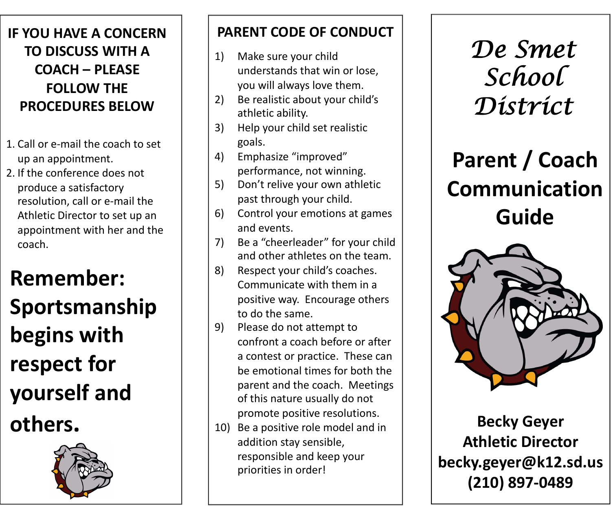### **IF YOU HAVE A CONCERN TO DISCUSS WITH A COACH – PLEASE FOLLOW THE PROCEDURES BELOW**

- 1. Call or e-mail the coach to set up an appointment.
- 2. If the conference does not produce a satisfactory resolution, call or e-mail the Athletic Director to set up an appointment with her and the coach.

## **Remember: Sportsmanship begins with respect for yourself and others.**



#### **PARENT CODE OF CONDUCT**

- 1) Make sure your child understands that win or lose, you will always love them.
- 2) Be realistic about your child's athletic ability.
- 3) Help your child set realistic goals.
- 4) Emphasize "improved" performance, not winning.
- 5) Don't relive your own athletic past through your child.
- 6) Control your emotions at games and events.
- 7) Be a "cheerleader" for your child and other athletes on the team.
- 8) Respect your child's coaches. Communicate with them in a positive way. Encourage others to do the same.
- 9) Please do not attempt to confront a coach before or after a contest or practice. These can be emotional times for both the parent and the coach. Meetings of this nature usually do not promote positive resolutions.
- 10) Be a positive role model and in addition stay sensible, responsible and keep your priorities in order!

*De Smet School District*

# **Parent / Coach Communication Guide**



**Becky Geyer Athletic Director becky.geyer@k12.sd.us (210) 897-0489**